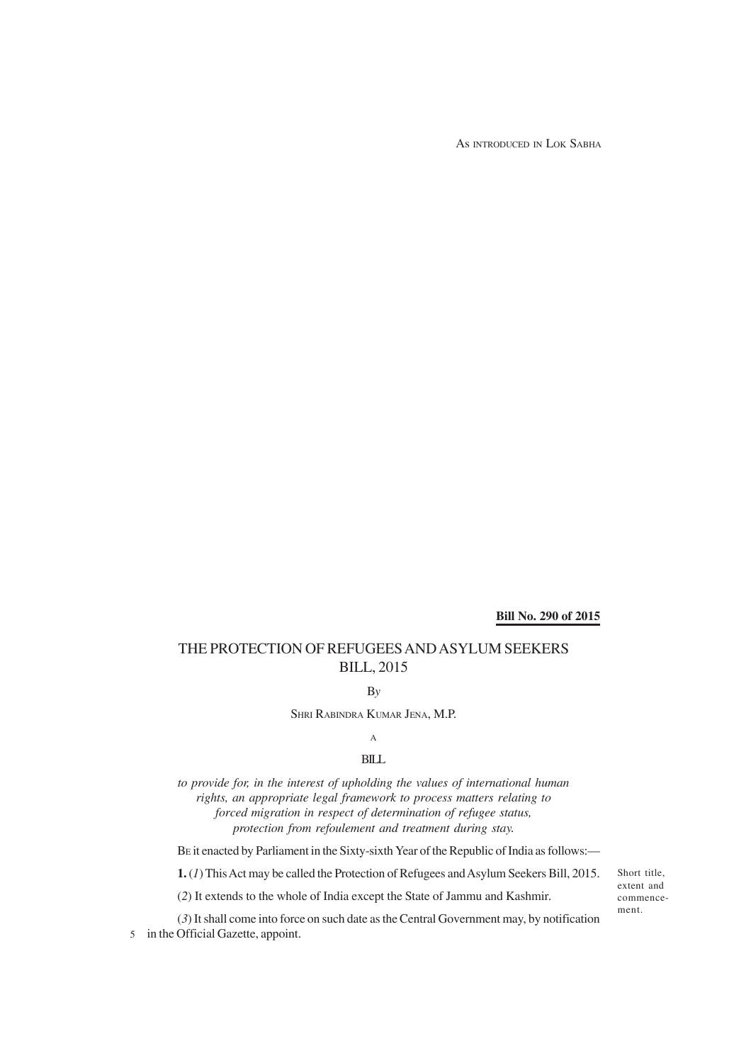As INTRODUCED IN LOK SABHA

**Bill No. 290 of 2015**

# THE PROTECTION OF REFUGEES AND ASYLUM SEEKERS BILL, 2015

B*y*

SHRI RABINDRA KUMAR JENA, M.P.

## A

#### BILL

*to provide for, in the interest of upholding the values of international human rights, an appropriate legal framework to process matters relating to forced migration in respect of determination of refugee status, protection from refoulement and treatment during stay.*

BE it enacted by Parliament in the Sixty-sixth Year of the Republic of India as follows:—

**1.** (*1*) This Act may be called the Protection of Refugees and Asylum Seekers Bill, 2015.

(*2*) It extends to the whole of India except the State of Jammu and Kashmir.

(*3*) It shall come into force on such date as the Central Government may, by notification 5 in the Official Gazette, appoint.

Short title, extent and commencement.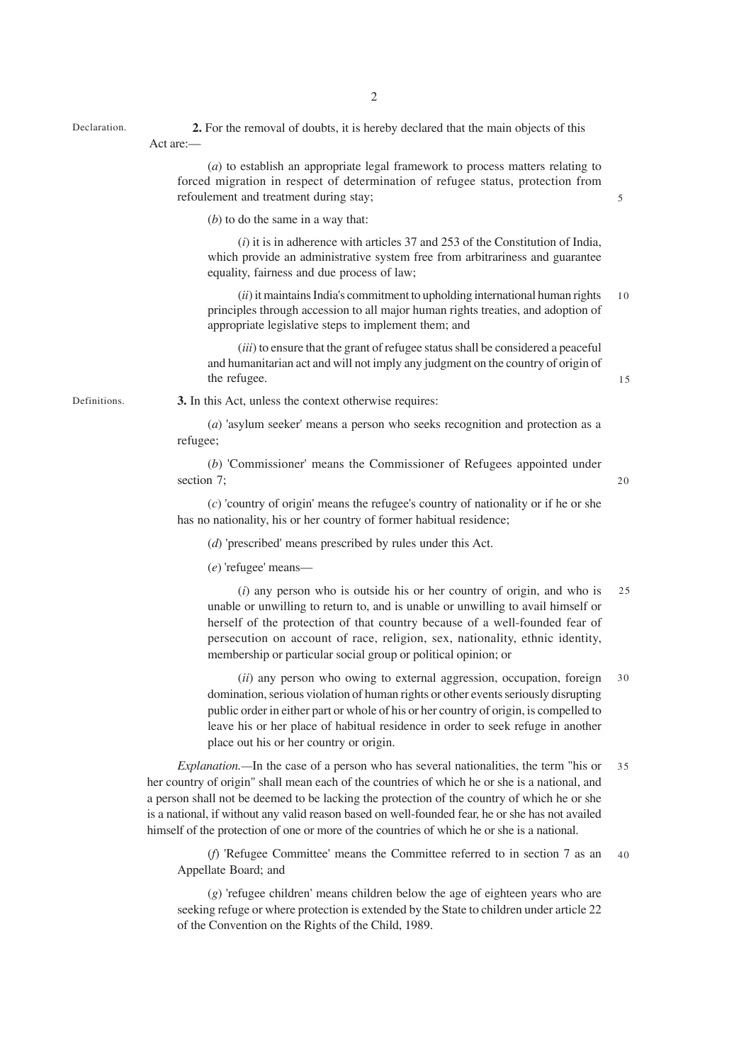Declaration. **2.** For the removal of doubts, it is hereby declared that the main objects of this Act are:—

> (*a*) to establish an appropriate legal framework to process matters relating to forced migration in respect of determination of refugee status, protection from refoulement and treatment during stay;

(*b*) to do the same in a way that:

(*i*) it is in adherence with articles 37 and 253 of the Constitution of India, which provide an administrative system free from arbitrariness and guarantee equality, fairness and due process of law;

(*ii*) it maintains India's commitment to upholding international human rights principles through accession to all major human rights treaties, and adoption of appropriate legislative steps to implement them; and 10

(*iii*) to ensure that the grant of refugee status shall be considered a peaceful and humanitarian act and will not imply any judgment on the country of origin of the refugee.

Definitions.

**3.** In this Act, unless the context otherwise requires:

(*a*) 'asylum seeker' means a person who seeks recognition and protection as a refugee;

(*b*) 'Commissioner' means the Commissioner of Refugees appointed under section 7;

20

15

5

(*c*) 'country of origin' means the refugee's country of nationality or if he or she has no nationality, his or her country of former habitual residence;

(*d*) 'prescribed' means prescribed by rules under this Act.

(*e*) 'refugee' means—

(*i*) any person who is outside his or her country of origin, and who is unable or unwilling to return to, and is unable or unwilling to avail himself or herself of the protection of that country because of a well-founded fear of persecution on account of race, religion, sex, nationality, ethnic identity, membership or particular social group or political opinion; or  $25$ 

(*ii*) any person who owing to external aggression, occupation, foreign domination, serious violation of human rights or other events seriously disrupting public order in either part or whole of his or her country of origin, is compelled to leave his or her place of habitual residence in order to seek refuge in another place out his or her country or origin. 30

*Explanation.—*In the case of a person who has several nationalities, the term "his or her country of origin" shall mean each of the countries of which he or she is a national, and a person shall not be deemed to be lacking the protection of the country of which he or she is a national, if without any valid reason based on well-founded fear, he or she has not availed himself of the protection of one or more of the countries of which he or she is a national. 35

(*f*) 'Refugee Committee' means the Committee referred to in section 7 as an Appellate Board; and 40

(*g*) 'refugee children' means children below the age of eighteen years who are seeking refuge or where protection is extended by the State to children under article 22 of the Convention on the Rights of the Child, 1989.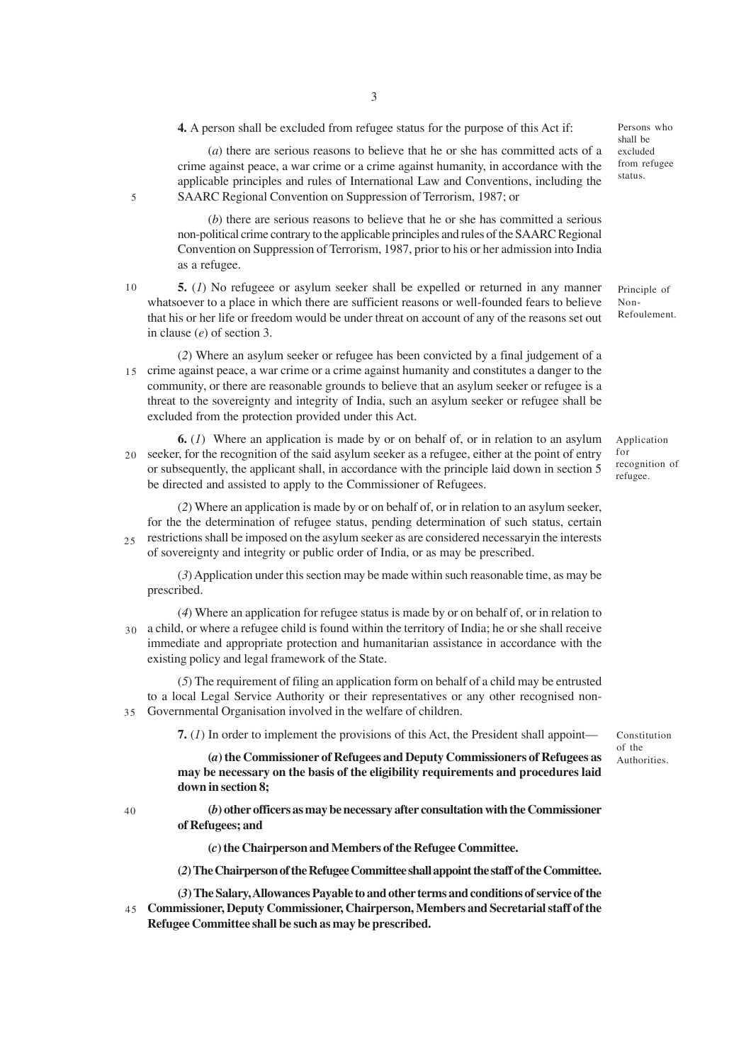**4.** A person shall be excluded from refugee status for the purpose of this Act if:

(*a*) there are serious reasons to believe that he or she has committed acts of a crime against peace, a war crime or a crime against humanity, in accordance with the applicable principles and rules of International Law and Conventions, including the SAARC Regional Convention on Suppression of Terrorism, 1987; or

(*b*) there are serious reasons to believe that he or she has committed a serious non-political crime contrary to the applicable principles and rules of the SAARC Regional Convention on Suppression of Terrorism, 1987, prior to his or her admission into India as a refugee.

10

5

**5.** (*1*) No refugeee or asylum seeker shall be expelled or returned in any manner whatsoever to a place in which there are sufficient reasons or well-founded fears to believe that his or her life or freedom would be under threat on account of any of the reasons set out in clause (*e*) of section 3. Non-

(*2*) Where an asylum seeker or refugee has been convicted by a final judgement of a crime against peace, a war crime or a crime against humanity and constitutes a danger to the 15 community, or there are reasonable grounds to believe that an asylum seeker or refugee is a threat to the sovereignty and integrity of India, such an asylum seeker or refugee shall be excluded from the protection provided under this Act.

**6.** (*1*) Where an application is made by or on behalf of, or in relation to an asylum seeker, for the recognition of the said asylum seeker as a refugee, either at the point of entry 20 or subsequently, the applicant shall, in accordance with the principle laid down in section 5 be directed and assisted to apply to the Commissioner of Refugees.

(*2*) Where an application is made by or on behalf of, or in relation to an asylum seeker, for the the determination of refugee status, pending determination of such status, certain restrictions shall be imposed on the asylum seeker as are considered necessaryin the interests of sovereignty and integrity or public order of India, or as may be prescribed.  $25$ 

(*3*) Application under this section may be made within such reasonable time, as may be prescribed.

(*4*) Where an application for refugee status is made by or on behalf of, or in relation to a child, or where a refugee child is found within the territory of India; he or she shall receive 30 immediate and appropriate protection and humanitarian assistance in accordance with the existing policy and legal framework of the State.

(*5*) The requirement of filing an application form on behalf of a child may be entrusted to a local Legal Service Authority or their representatives or any other recognised non-Governmental Organisation involved in the welfare of children. 35

**7.** (*1*) In order to implement the provisions of this Act, the President shall appoint—

Constitution of the Authorities.

**(***a***) the Commissioner of Refugees and Deputy Commissioners of Refugees as may be necessary on the basis of the eligibility requirements and procedures laid down in section 8;**

40

**(***b***) other officers as may be necessary after consultation with the Commissioner of Refugees; and**

**(***c***) the Chairperson and Members of the Refugee Committee.**

**(***2***) The Chairperson of the Refugee Committee shall appoint the staff of the Committee.**

**(***3***) The Salary, Allowances Payable to and other terms and conditions of service of the Commissioner, Deputy Commissioner, Chairperson, Members and Secretarial staff of the Refugee Committee shall be such as may be prescribed.** 45

Persons who shall be excluded from refugee status.

Principle of Refoulement.

Application for recognition of refugee.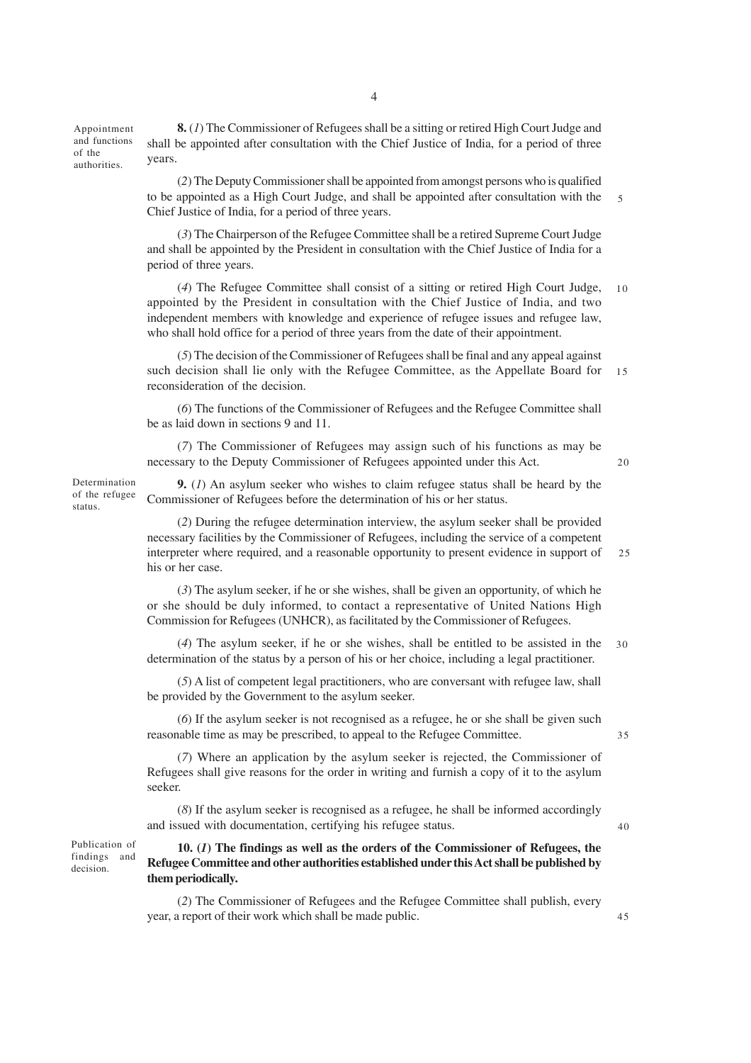Appointment and functions of the authorities.

**8.** (*1*) The Commissioner of Refugees shall be a sitting or retired High Court Judge and shall be appointed after consultation with the Chief Justice of India, for a period of three years.

(*2*) The Deputy Commissioner shall be appointed from amongst persons who is qualified to be appointed as a High Court Judge, and shall be appointed after consultation with the Chief Justice of India, for a period of three years. 5

(*3*) The Chairperson of the Refugee Committee shall be a retired Supreme Court Judge and shall be appointed by the President in consultation with the Chief Justice of India for a period of three years.

(*4*) The Refugee Committee shall consist of a sitting or retired High Court Judge, appointed by the President in consultation with the Chief Justice of India, and two independent members with knowledge and experience of refugee issues and refugee law, who shall hold office for a period of three years from the date of their appointment.  $1<sub>0</sub>$ 

(*5*) The decision of the Commissioner of Refugees shall be final and any appeal against such decision shall lie only with the Refugee Committee, as the Appellate Board for reconsideration of the decision. 15

(*6*) The functions of the Commissioner of Refugees and the Refugee Committee shall be as laid down in sections 9 and 11.

(*7*) The Commissioner of Refugees may assign such of his functions as may be necessary to the Deputy Commissioner of Refugees appointed under this Act.

 $20$ 

**9.** (*1*) An asylum seeker who wishes to claim refugee status shall be heard by the Commissioner of Refugees before the determination of his or her status. Determination of the refugee

> (*2*) During the refugee determination interview, the asylum seeker shall be provided necessary facilities by the Commissioner of Refugees, including the service of a competent interpreter where required, and a reasonable opportunity to present evidence in support of his or her case. 25

(*3*) The asylum seeker, if he or she wishes, shall be given an opportunity, of which he or she should be duly informed, to contact a representative of United Nations High Commission for Refugees (UNHCR), as facilitated by the Commissioner of Refugees.

(*4*) The asylum seeker, if he or she wishes, shall be entitled to be assisted in the determination of the status by a person of his or her choice, including a legal practitioner. 30

(*5*) A list of competent legal practitioners, who are conversant with refugee law, shall be provided by the Government to the asylum seeker.

(*6*) If the asylum seeker is not recognised as a refugee, he or she shall be given such reasonable time as may be prescribed, to appeal to the Refugee Committee.

35

40

45

(*7*) Where an application by the asylum seeker is rejected, the Commissioner of Refugees shall give reasons for the order in writing and furnish a copy of it to the asylum seeker.

(*8*) If the asylum seeker is recognised as a refugee, he shall be informed accordingly and issued with documentation, certifying his refugee status.

Publication of findings and decision.

status.

### **10. (***1***) The findings as well as the orders of the Commissioner of Refugees, the Refugee Committee and other authorities established under this Act shall be published by them periodically.**

(*2*) The Commissioner of Refugees and the Refugee Committee shall publish, every year, a report of their work which shall be made public.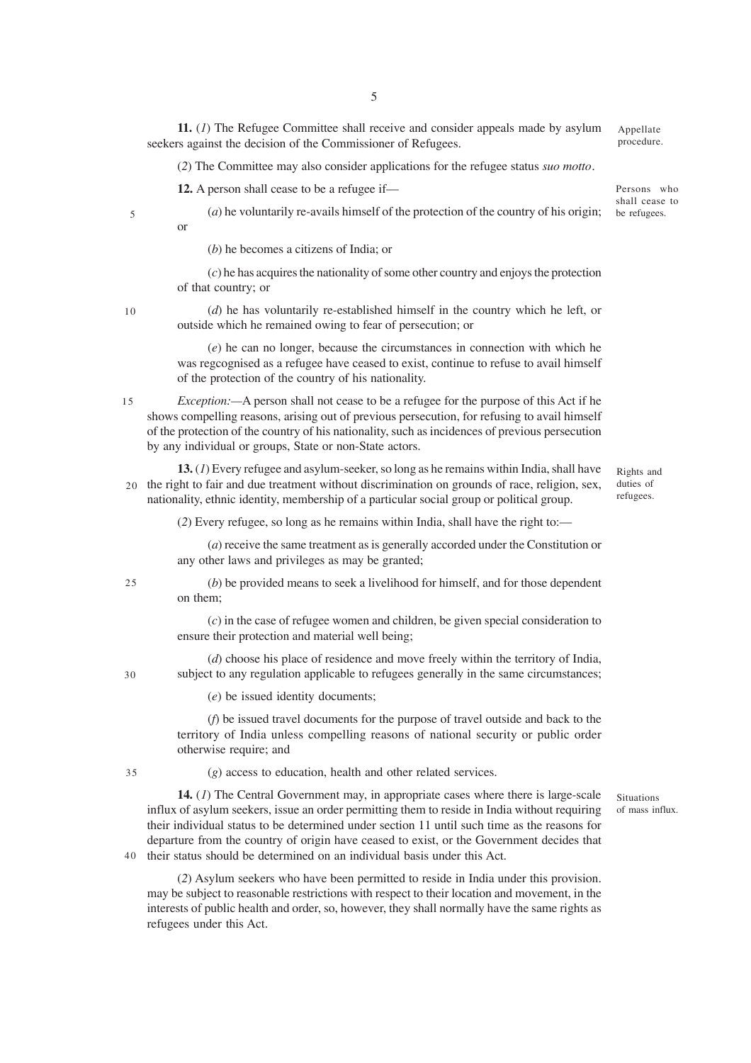**11.** (*1*) The Refugee Committee shall receive and consider appeals made by asylum seekers against the decision of the Commissioner of Refugees. Appellate procedure.

(*2*) The Committee may also consider applications for the refugee status *suo motto*.

**12.** A person shall cease to be a refugee if—

Persons who shall cease to be refugees.

or

(*a*) he voluntarily re-avails himself of the protection of the country of his origin;

(*b*) he becomes a citizens of India; or

(*c*) he has acquires the nationality of some other country and enjoys the protection of that country; or

10

5

(*d*) he has voluntarily re-established himself in the country which he left, or outside which he remained owing to fear of persecution; or

(*e*) he can no longer, because the circumstances in connection with which he was regcognised as a refugee have ceased to exist, continue to refuse to avail himself of the protection of the country of his nationality.

*Exception:—*A person shall not cease to be a refugee for the purpose of this Act if he shows compelling reasons, arising out of previous persecution, for refusing to avail himself of the protection of the country of his nationality, such as incidences of previous persecution by any individual or groups, State or non-State actors. 15

**13.** (*1*) Every refugee and asylum-seeker, so long as he remains within India, shall have 20 the right to fair and due treatment without discrimination on grounds of race, religion, sex, nationality, ethnic identity, membership of a particular social group or political group.

Rights and duties of refugees.

Situations of mass influx.

(*2*) Every refugee, so long as he remains within India, shall have the right to:—

(*a*) receive the same treatment as is generally accorded under the Constitution or any other laws and privileges as may be granted;

(*b*) be provided means to seek a livelihood for himself, and for those dependent on them;

(*c*) in the case of refugee women and children, be given special consideration to ensure their protection and material well being;

(*d*) choose his place of residence and move freely within the territory of India, subject to any regulation applicable to refugees generally in the same circumstances;

(*e*) be issued identity documents;

(*f*) be issued travel documents for the purpose of travel outside and back to the territory of India unless compelling reasons of national security or public order otherwise require; and

35

(*g*) access to education, health and other related services.

**14.** (*1*) The Central Government may, in appropriate cases where there is large-scale influx of asylum seekers, issue an order permitting them to reside in India without requiring their individual status to be determined under section 11 until such time as the reasons for departure from the country of origin have ceased to exist, or the Government decides that 40 their status should be determined on an individual basis under this Act.

(*2*) Asylum seekers who have been permitted to reside in India under this provision. may be subject to reasonable restrictions with respect to their location and movement, in the interests of public health and order, so, however, they shall normally have the same rights as refugees under this Act.

25

 $30$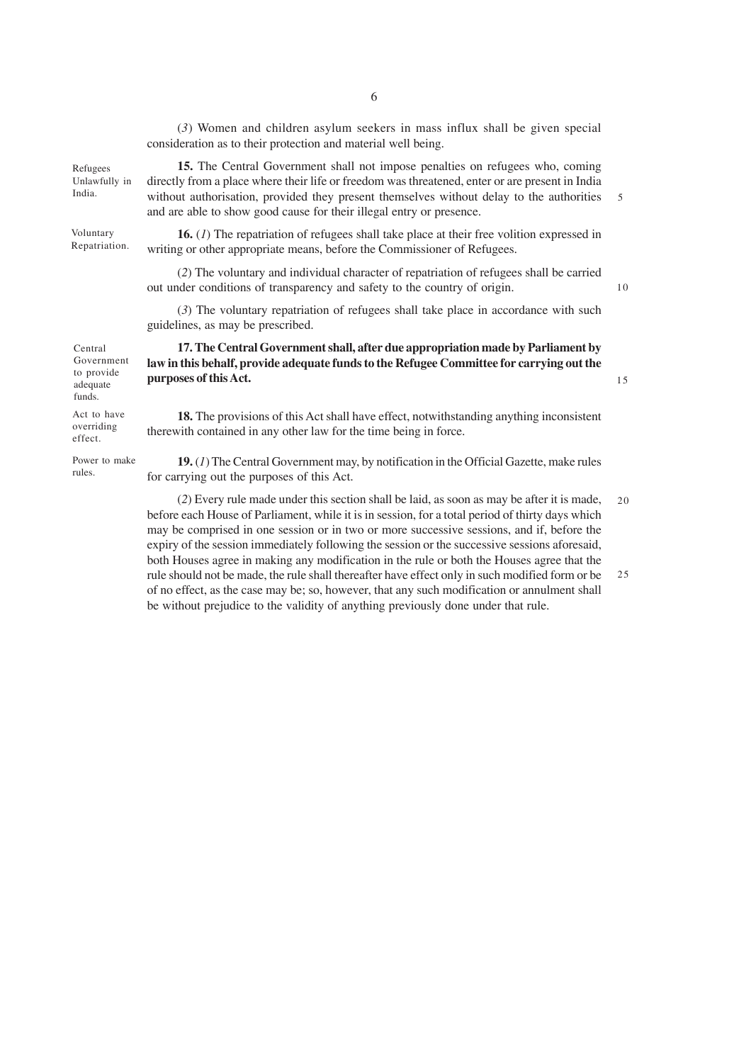(*3*) Women and children asylum seekers in mass influx shall be given special consideration as to their protection and material well being.

**15.** The Central Government shall not impose penalties on refugees who, coming directly from a place where their life or freedom was threatened, enter or are present in India without authorisation, provided they present themselves without delay to the authorities and are able to show good cause for their illegal entry or presence.

**16.** (*1*) The repatriation of refugees shall take place at their free volition expressed in writing or other appropriate means, before the Commissioner of Refugees.

(*2*) The voluntary and individual character of repatriation of refugees shall be carried out under conditions of transparency and safety to the country of origin.

(*3*) The voluntary repatriation of refugees shall take place in accordance with such guidelines, as may be prescribed.

Central Government to provide adequate funds.

Refugees Unlawfully in India.

Voluntary Repatriation.

Act to have overriding effect.

Power to make rules.

**17. The Central Government shall, after due appropriation made by Parliament by law in this behalf, provide adequate funds to the Refugee Committee for carrying out the purposes of this Act.**

**18.** The provisions of this Act shall have effect, notwithstanding anything inconsistent therewith contained in any other law for the time being in force.

**19.** (*1*) The Central Government may, by notification in the Official Gazette, make rules for carrying out the purposes of this Act.

(*2*) Every rule made under this section shall be laid, as soon as may be after it is made, before each House of Parliament, while it is in session, for a total period of thirty days which may be comprised in one session or in two or more successive sessions, and if, before the expiry of the session immediately following the session or the successive sessions aforesaid, both Houses agree in making any modification in the rule or both the Houses agree that the rule should not be made, the rule shall thereafter have effect only in such modified form or be of no effect, as the case may be; so, however, that any such modification or annulment shall be without prejudice to the validity of anything previously done under that rule.  $20$ 25

10

15

5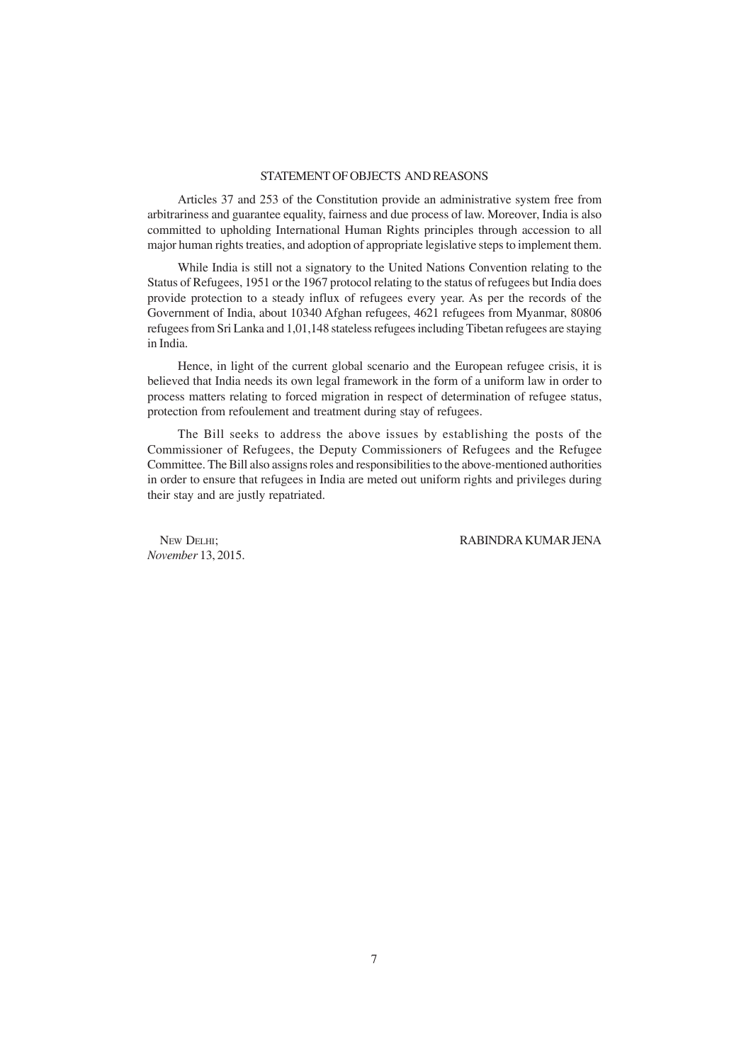## STATEMENT OF OBJECTS AND REASONS

Articles 37 and 253 of the Constitution provide an administrative system free from arbitrariness and guarantee equality, fairness and due process of law. Moreover, India is also committed to upholding International Human Rights principles through accession to all major human rights treaties, and adoption of appropriate legislative steps to implement them.

While India is still not a signatory to the United Nations Convention relating to the Status of Refugees, 1951 or the 1967 protocol relating to the status of refugees but India does provide protection to a steady influx of refugees every year. As per the records of the Government of India, about 10340 Afghan refugees, 4621 refugees from Myanmar, 80806 refugees from Sri Lanka and 1,01,148 stateless refugees including Tibetan refugees are staying in India.

Hence, in light of the current global scenario and the European refugee crisis, it is believed that India needs its own legal framework in the form of a uniform law in order to process matters relating to forced migration in respect of determination of refugee status, protection from refoulement and treatment during stay of refugees.

The Bill seeks to address the above issues by establishing the posts of the Commissioner of Refugees, the Deputy Commissioners of Refugees and the Refugee Committee. The Bill also assigns roles and responsibilities to the above-mentioned authorities in order to ensure that refugees in India are meted out uniform rights and privileges during their stay and are justly repatriated.

*November* 13, 2015.

NEW DELHI; RABINDRA KUMAR JENA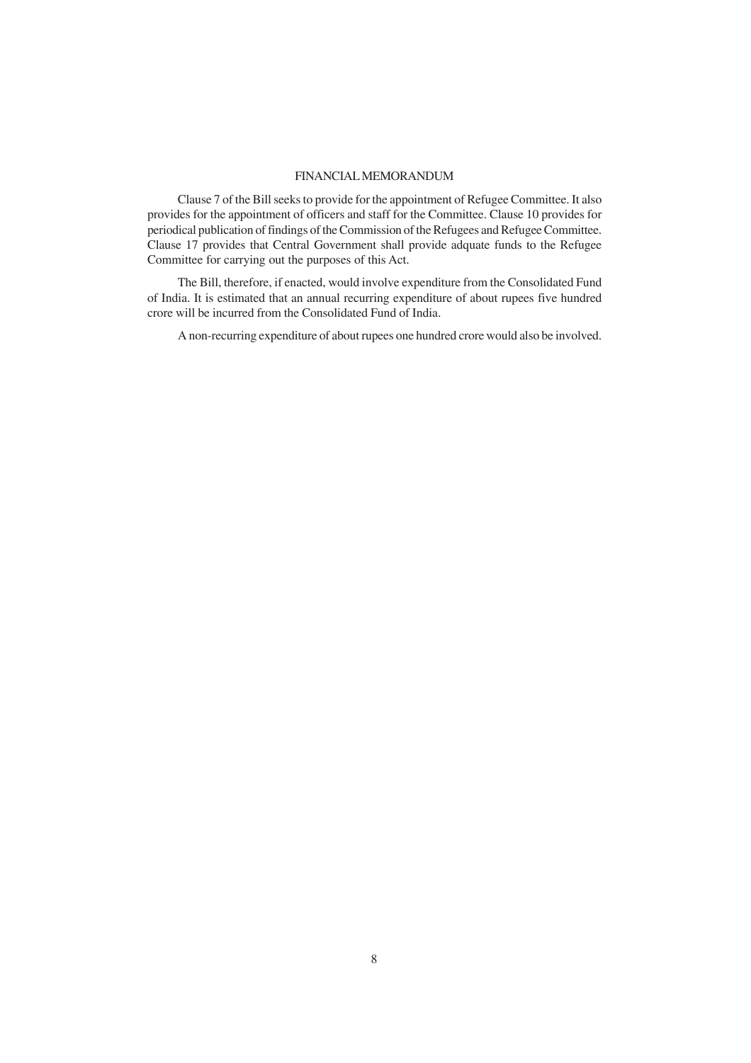### FINANCIAL MEMORANDUM

Clause 7 of the Bill seeks to provide for the appointment of Refugee Committee. It also provides for the appointment of officers and staff for the Committee. Clause 10 provides for periodical publication of findings of the Commission of the Refugees and Refugee Committee. Clause 17 provides that Central Government shall provide adquate funds to the Refugee Committee for carrying out the purposes of this Act.

The Bill, therefore, if enacted, would involve expenditure from the Consolidated Fund of India. It is estimated that an annual recurring expenditure of about rupees five hundred crore will be incurred from the Consolidated Fund of India.

A non-recurring expenditure of about rupees one hundred crore would also be involved.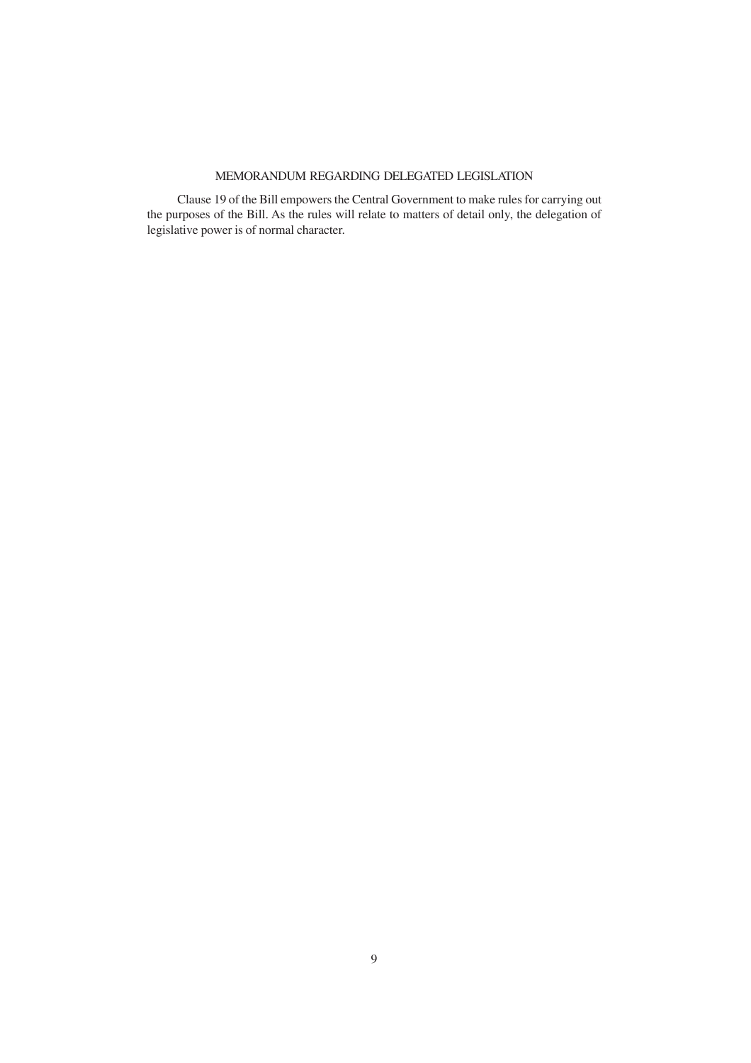## MEMORANDUM REGARDING DELEGATED LEGISLATION

Clause 19 of the Bill empowers the Central Government to make rules for carrying out the purposes of the Bill. As the rules will relate to matters of detail only, the delegation of legislative power is of normal character.